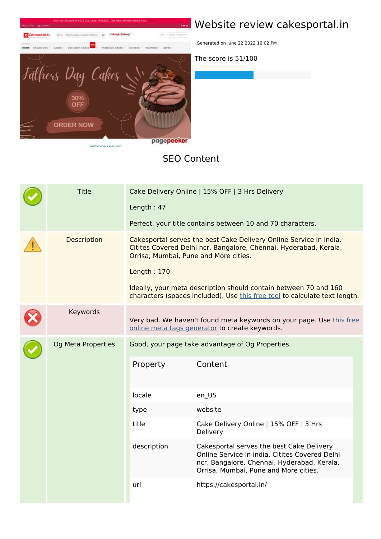

## **Website review cakesportal.in**

Generated on June 22 2022 16:02 PM

**The score is 51/100**

#### **SEO Content**

|  | <b>Title</b>       | Cake Delivery Online   15% OFF   3 Hrs Delivery<br>Length: 47<br>Perfect, your title contains between 10 and 70 characters.                                                                                                                                                                                                                       |                                                                                                                                                                                     |  |  |
|--|--------------------|---------------------------------------------------------------------------------------------------------------------------------------------------------------------------------------------------------------------------------------------------------------------------------------------------------------------------------------------------|-------------------------------------------------------------------------------------------------------------------------------------------------------------------------------------|--|--|
|  | <b>Description</b> | Cakesportal serves the best Cake Delivery Online Service in india.<br>Citites Covered Delhi ncr, Bangalore, Chennai, Hyderabad, Kerala,<br>Orrisa, Mumbai, Pune and More cities.<br>Length: 170<br>Ideally, your meta description should contain between 70 and 160<br>characters (spaces included). Use this free tool to calculate text length. |                                                                                                                                                                                     |  |  |
|  | Keywords           |                                                                                                                                                                                                                                                                                                                                                   | Very bad. We haven't found meta keywords on your page. Use this free<br>online meta tags generator to create keywords.                                                              |  |  |
|  | Og Meta Properties | Property                                                                                                                                                                                                                                                                                                                                          | Good, your page take advantage of Og Properties.<br>Content                                                                                                                         |  |  |
|  |                    | locale                                                                                                                                                                                                                                                                                                                                            | en_US                                                                                                                                                                               |  |  |
|  |                    | type                                                                                                                                                                                                                                                                                                                                              | website                                                                                                                                                                             |  |  |
|  |                    | title                                                                                                                                                                                                                                                                                                                                             | Cake Delivery Online   15% OFF   3 Hrs<br>Delivery                                                                                                                                  |  |  |
|  |                    | description                                                                                                                                                                                                                                                                                                                                       | Cakesportal serves the best Cake Delivery<br>Online Service in india. Citites Covered Delhi<br>ncr, Bangalore, Chennai, Hyderabad, Kerala,<br>Orrisa, Mumbai, Pune and More cities. |  |  |
|  |                    | url                                                                                                                                                                                                                                                                                                                                               | https://cakesportal.in/                                                                                                                                                             |  |  |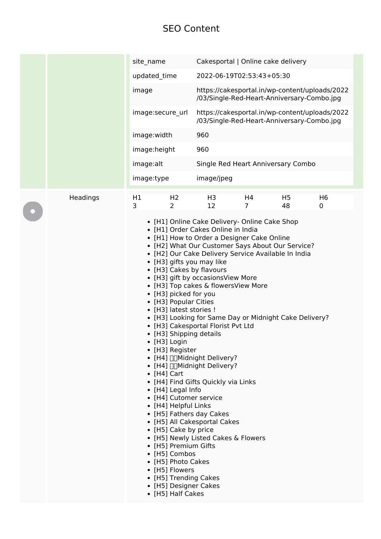### **SEO Content**

|  |          | site_name        |                                                                                                                                                                                                                                                                                                                        | Cakesportal   Online cake delivery                                                                                                                                                                                                                                                                                                                                                                                                                                                                                                                                                                                                                                                                                                              |                      |                      |                                                                                              |
|--|----------|------------------|------------------------------------------------------------------------------------------------------------------------------------------------------------------------------------------------------------------------------------------------------------------------------------------------------------------------|-------------------------------------------------------------------------------------------------------------------------------------------------------------------------------------------------------------------------------------------------------------------------------------------------------------------------------------------------------------------------------------------------------------------------------------------------------------------------------------------------------------------------------------------------------------------------------------------------------------------------------------------------------------------------------------------------------------------------------------------------|----------------------|----------------------|----------------------------------------------------------------------------------------------|
|  |          | updated time     |                                                                                                                                                                                                                                                                                                                        | 2022-06-19T02:53:43+05:30                                                                                                                                                                                                                                                                                                                                                                                                                                                                                                                                                                                                                                                                                                                       |                      |                      |                                                                                              |
|  |          | image            |                                                                                                                                                                                                                                                                                                                        | https://cakesportal.in/wp-content/uploads/2022<br>/03/Single-Red-Heart-Anniversary-Combo.jpg                                                                                                                                                                                                                                                                                                                                                                                                                                                                                                                                                                                                                                                    |                      |                      |                                                                                              |
|  |          | image:secure_url |                                                                                                                                                                                                                                                                                                                        |                                                                                                                                                                                                                                                                                                                                                                                                                                                                                                                                                                                                                                                                                                                                                 |                      |                      | https://cakesportal.in/wp-content/uploads/2022<br>/03/Single-Red-Heart-Anniversary-Combo.jpg |
|  |          | image:width      |                                                                                                                                                                                                                                                                                                                        | 960                                                                                                                                                                                                                                                                                                                                                                                                                                                                                                                                                                                                                                                                                                                                             |                      |                      |                                                                                              |
|  |          | image:height     |                                                                                                                                                                                                                                                                                                                        | 960                                                                                                                                                                                                                                                                                                                                                                                                                                                                                                                                                                                                                                                                                                                                             |                      |                      |                                                                                              |
|  |          | image:alt        |                                                                                                                                                                                                                                                                                                                        | Single Red Heart Anniversary Combo                                                                                                                                                                                                                                                                                                                                                                                                                                                                                                                                                                                                                                                                                                              |                      |                      |                                                                                              |
|  |          | image:type       |                                                                                                                                                                                                                                                                                                                        | image/jpeg                                                                                                                                                                                                                                                                                                                                                                                                                                                                                                                                                                                                                                                                                                                                      |                      |                      |                                                                                              |
|  |          |                  |                                                                                                                                                                                                                                                                                                                        |                                                                                                                                                                                                                                                                                                                                                                                                                                                                                                                                                                                                                                                                                                                                                 |                      |                      |                                                                                              |
|  | Headings | H1<br>3          | H <sub>2</sub><br>2                                                                                                                                                                                                                                                                                                    | H3<br>12                                                                                                                                                                                                                                                                                                                                                                                                                                                                                                                                                                                                                                                                                                                                        | H4<br>$\overline{7}$ | H <sub>5</sub><br>48 | H <sub>6</sub><br>0                                                                          |
|  |          |                  | • [H3] picked for you<br>• [H3] Popular Cities<br>• [H3] latest stories !<br>$\bullet$ [H3] Login<br>• [H3] Register<br>$\bullet$ [H4] Cart<br>• [H4] Legal Info<br>• [H4] Helpful Links<br>• [H5] Cake by price<br>• [H5] Premium Gifts<br>• [H5] Combos<br>• [H5] Photo Cakes<br>• [H5] Flowers<br>• [H5] Half Cakes | • [H1] Order Cakes Online in India<br>• [H1] How to Order a Designer Cake Online<br>• [H2] What Our Customer Says About Our Service?<br>• [H2] Our Cake Delivery Service Available In India<br>• [H3] gifts you may like<br>• [H3] Cakes by flavours<br>• [H3] gift by occasionsView More<br>• [H3] Top cakes & flowersView More<br>• [H3] Looking for Same Day or Midnight Cake Delivery?<br>• [H3] Cakesportal Florist Pvt Ltd<br>• [H3] Shipping details<br>• [H4] □ Midnight Delivery?<br>• [H4] □ Midnight Delivery?<br>• [H4] Find Gifts Quickly via Links<br>• [H4] Cutomer service<br>• [H5] Fathers day Cakes<br>• [H5] All Cakesportal Cakes<br>• [H5] Newly Listed Cakes & Flowers<br>• [H5] Trending Cakes<br>• [H5] Designer Cakes |                      |                      |                                                                                              |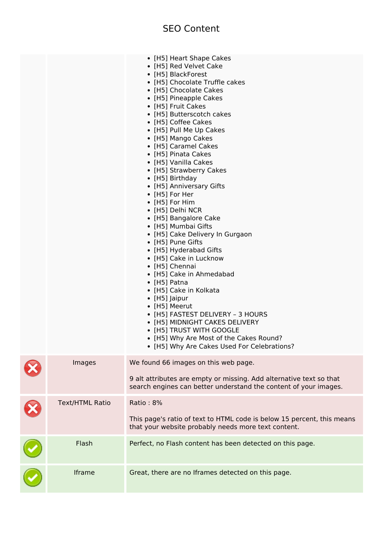|                        | • [H5] Heart Shape Cakes<br>• [H5] Red Velvet Cake<br>• [H5] BlackForest<br>• [H5] Chocolate Truffle cakes<br>• [H5] Chocolate Cakes<br>• [H5] Pineapple Cakes<br>• [H5] Fruit Cakes<br>• [H5] Butterscotch cakes<br>• [H5] Coffee Cakes<br>• [H5] Pull Me Up Cakes<br>• [H5] Mango Cakes<br>• [H5] Caramel Cakes<br>• [H5] Pinata Cakes<br>• [H5] Vanilla Cakes<br>• [H5] Strawberry Cakes<br>• [H5] Birthday<br>• [H5] Anniversary Gifts<br>• [H5] For Her<br>• [H5] For Him<br>• [H5] Delhi NCR<br>• [H5] Bangalore Cake<br>• [H5] Mumbai Gifts<br>• [H5] Cake Delivery In Gurgaon<br>• [H5] Pune Gifts<br>• [H5] Hyderabad Gifts<br>• [H5] Cake in Lucknow<br>• [H5] Chennai<br>• [H5] Cake in Ahmedabad<br>• [H5] Patna<br>• [H5] Cake in Kolkata<br>$\bullet$ [H5] Jaipur<br>• [H5] Meerut<br>• [H5] FASTEST DELIVERY - 3 HOURS<br>• [H5] MIDNIGHT CAKES DELIVERY<br>• [H5] TRUST WITH GOOGLE<br>• [H5] Why Are Most of the Cakes Round?<br>• [H5] Why Are Cakes Used For Celebrations? |
|------------------------|-----------------------------------------------------------------------------------------------------------------------------------------------------------------------------------------------------------------------------------------------------------------------------------------------------------------------------------------------------------------------------------------------------------------------------------------------------------------------------------------------------------------------------------------------------------------------------------------------------------------------------------------------------------------------------------------------------------------------------------------------------------------------------------------------------------------------------------------------------------------------------------------------------------------------------------------------------------------------------------------------|
| Images                 | We found 66 images on this web page.<br>9 alt attributes are empty or missing. Add alternative text so that<br>search engines can better understand the content of your images.                                                                                                                                                                                                                                                                                                                                                                                                                                                                                                                                                                                                                                                                                                                                                                                                               |
| <b>Text/HTML Ratio</b> | Ratio: 8%<br>This page's ratio of text to HTML code is below 15 percent, this means<br>that your website probably needs more text content.                                                                                                                                                                                                                                                                                                                                                                                                                                                                                                                                                                                                                                                                                                                                                                                                                                                    |
| Flash                  | Perfect, no Flash content has been detected on this page.                                                                                                                                                                                                                                                                                                                                                                                                                                                                                                                                                                                                                                                                                                                                                                                                                                                                                                                                     |
| Iframe                 | Great, there are no Iframes detected on this page.                                                                                                                                                                                                                                                                                                                                                                                                                                                                                                                                                                                                                                                                                                                                                                                                                                                                                                                                            |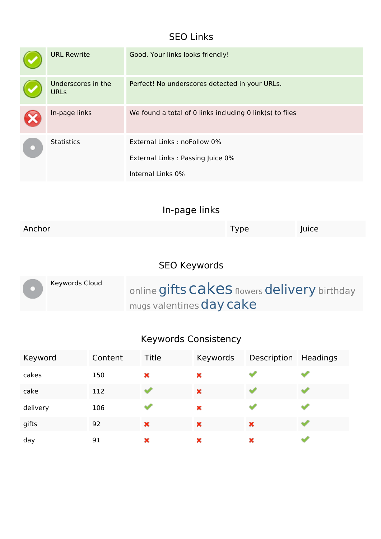### **SEO Links**

| <b>URL Rewrite</b>                | Good. Your links looks friendly!                                                     |
|-----------------------------------|--------------------------------------------------------------------------------------|
| Underscores in the<br><b>URLs</b> | Perfect! No underscores detected in your URLs.                                       |
| In-page links                     | We found a total of 0 links including 0 link(s) to files                             |
| <b>Statistics</b>                 | External Links: noFollow 0%<br>External Links: Passing Juice 0%<br>Internal Links 0% |

| Anchor | i ype | Juice |
|--------|-------|-------|
|        |       |       |

### **SEO Keywords**

|  | Keywords Cloud | online gifts Cakes flowers delivery birthday |
|--|----------------|----------------------------------------------|
|  |                | mugs valentines day cake                     |

# **Keywords Consistency**

| Keyword  | Content | Title | Keywords | Description | Headings |
|----------|---------|-------|----------|-------------|----------|
| cakes    | 150     | ×     | ×        |             |          |
| cake     | 112     |       | ×        |             |          |
| delivery | 106     |       | ×        |             |          |
| gifts    | 92      | ×     | ×        | ×           |          |
| day      | 91      | ×     | ×        | ×           |          |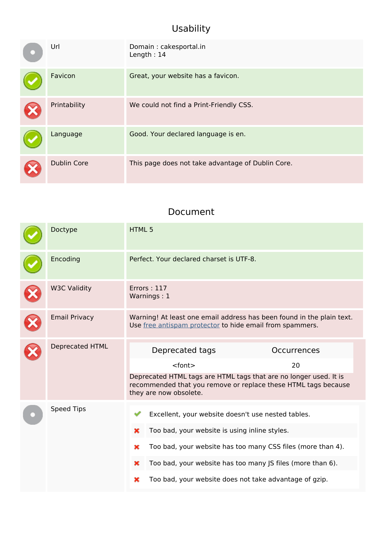### **Usability**

| Url                | Domain: cakesportal.in<br>Length: $14$            |
|--------------------|---------------------------------------------------|
| Favicon            | Great, your website has a favicon.                |
| Printability       | We could not find a Print-Friendly CSS.           |
| Language           | Good. Your declared language is en.               |
| <b>Dublin Core</b> | This page does not take advantage of Dublin Core. |

#### **Document**

| Doctype                | HTML 5                                                                                                                                                                                                                                                                                                         |
|------------------------|----------------------------------------------------------------------------------------------------------------------------------------------------------------------------------------------------------------------------------------------------------------------------------------------------------------|
| Encoding               | Perfect. Your declared charset is UTF-8.                                                                                                                                                                                                                                                                       |
| <b>W3C Validity</b>    | Errors: 117<br>Warnings: 1                                                                                                                                                                                                                                                                                     |
| <b>Email Privacy</b>   | Warning! At least one email address has been found in the plain text.<br>Use free antispam protector to hide email from spammers.                                                                                                                                                                              |
| <b>Deprecated HTML</b> | Deprecated tags<br>Occurrences<br><font><br/>20<br/>Deprecated HTML tags are HTML tags that are no longer used. It is<br/>recommended that you remove or replace these HTML tags because<br/>they are now obsolete.</font>                                                                                     |
| <b>Speed Tips</b>      | Excellent, your website doesn't use nested tables.<br>Too bad, your website is using inline styles.<br>×<br>Too bad, your website has too many CSS files (more than 4).<br>×<br>Too bad, your website has too many JS files (more than 6).<br>×<br>Too bad, your website does not take advantage of gzip.<br>× |